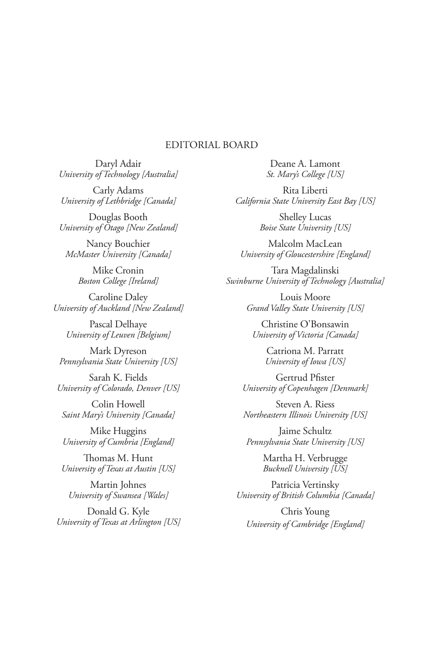## EDITORIAL BOARD

Daryl Adair *University of Technology [Australia]*

Carly Adams *University of Lethbridge [Canada]*

Douglas Booth *University of Otago [New Zealand]*

Nancy Bouchier *McMaster University [Canada]*

> Mike Cronin *Boston College [Ireland]*

Caroline Daley *University of Auckland [New Zealand]*

Pascal Delhaye *University of Leuven [Belgium]*

Mark Dyreson *Pennsylvania State University [US]*

Sarah K. Fields *University of Colorado, Denver [US]*

Colin Howell *Saint Mary's University [Canada]*

Mike Huggins *University of Cumbria [England]*

Thomas M. Hunt *University of Texas at Austin [US]*

Martin Johnes *University of Swansea [Wales]*

Donald G. Kyle *University of Texas at Arlington [US]*

Deane A. Lamont *St. Mary's College [US]*

Rita Liberti *California State University East Bay [US]*

> Shelley Lucas *Boise State University [US]*

Malcolm MacLean *University of Gloucestershire [England]*

Tara Magdalinski *Swinburne University of Technology [Australia]*

> Louis Moore *Grand Valley State University [US]*

Christine O'Bonsawin *University of Victoria [Canada]*

> Catriona M. Parratt *University of Iowa [US]*

Gertrud Pfister *University of Copenhagen [Denmark]*

Steven A. Riess *Northeastern Illinois University [US]*

Jaime Schultz *Pennsylvania State University [US]*

> Martha H. Verbrugge *Bucknell University [US]*

Patricia Vertinsky *University of British Columbia [Canada]*

Chris Young *University of Cambridge [England]*